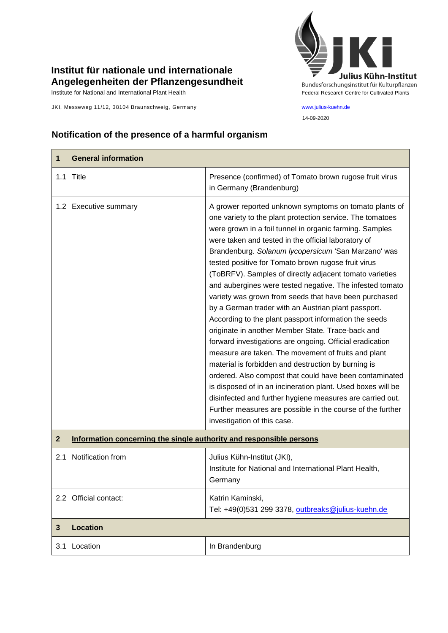## **Institut für nationale und internationale Angelegenheiten der Pflanzengesundheit**

JKI, Messeweg 11/12, 38104 Braunschweig, Germany [www.julius-kuehn.de](http://www.julius-kuehn.de/)



## **Notification of the presence of a harmful organism**

| 1            | <b>General information</b>                                          |                                                                                                                                                                                                                                                                                                                                                                                                                                                                                                                                                                                                                                                                                                                                                                                                                                                                                                                                                                                                                                                                                                                                                                        |
|--------------|---------------------------------------------------------------------|------------------------------------------------------------------------------------------------------------------------------------------------------------------------------------------------------------------------------------------------------------------------------------------------------------------------------------------------------------------------------------------------------------------------------------------------------------------------------------------------------------------------------------------------------------------------------------------------------------------------------------------------------------------------------------------------------------------------------------------------------------------------------------------------------------------------------------------------------------------------------------------------------------------------------------------------------------------------------------------------------------------------------------------------------------------------------------------------------------------------------------------------------------------------|
|              | 1.1 Title                                                           | Presence (confirmed) of Tomato brown rugose fruit virus<br>in Germany (Brandenburg)                                                                                                                                                                                                                                                                                                                                                                                                                                                                                                                                                                                                                                                                                                                                                                                                                                                                                                                                                                                                                                                                                    |
|              | 1.2 Executive summary                                               | A grower reported unknown symptoms on tomato plants of<br>one variety to the plant protection service. The tomatoes<br>were grown in a foil tunnel in organic farming. Samples<br>were taken and tested in the official laboratory of<br>Brandenburg. Solanum lycopersicum 'San Marzano' was<br>tested positive for Tomato brown rugose fruit virus<br>(ToBRFV). Samples of directly adjacent tomato varieties<br>and aubergines were tested negative. The infested tomato<br>variety was grown from seeds that have been purchased<br>by a German trader with an Austrian plant passport.<br>According to the plant passport information the seeds<br>originate in another Member State. Trace-back and<br>forward investigations are ongoing. Official eradication<br>measure are taken. The movement of fruits and plant<br>material is forbidden and destruction by burning is<br>ordered. Also compost that could have been contaminated<br>is disposed of in an incineration plant. Used boxes will be<br>disinfected and further hygiene measures are carried out.<br>Further measures are possible in the course of the further<br>investigation of this case. |
| $\mathbf{2}$ | Information concerning the single authority and responsible persons |                                                                                                                                                                                                                                                                                                                                                                                                                                                                                                                                                                                                                                                                                                                                                                                                                                                                                                                                                                                                                                                                                                                                                                        |
| 2.1          | Notification from                                                   | Julius Kühn-Institut (JKI),<br>Institute for National and International Plant Health,<br>Germany                                                                                                                                                                                                                                                                                                                                                                                                                                                                                                                                                                                                                                                                                                                                                                                                                                                                                                                                                                                                                                                                       |
|              | 2.2 Official contact:                                               | Katrin Kaminski,<br>Tel: +49(0)531 299 3378, outbreaks@julius-kuehn.de                                                                                                                                                                                                                                                                                                                                                                                                                                                                                                                                                                                                                                                                                                                                                                                                                                                                                                                                                                                                                                                                                                 |
| 3            | <b>Location</b>                                                     |                                                                                                                                                                                                                                                                                                                                                                                                                                                                                                                                                                                                                                                                                                                                                                                                                                                                                                                                                                                                                                                                                                                                                                        |
| 3.1          | Location                                                            | In Brandenburg                                                                                                                                                                                                                                                                                                                                                                                                                                                                                                                                                                                                                                                                                                                                                                                                                                                                                                                                                                                                                                                                                                                                                         |
|              |                                                                     |                                                                                                                                                                                                                                                                                                                                                                                                                                                                                                                                                                                                                                                                                                                                                                                                                                                                                                                                                                                                                                                                                                                                                                        |

14-09-2020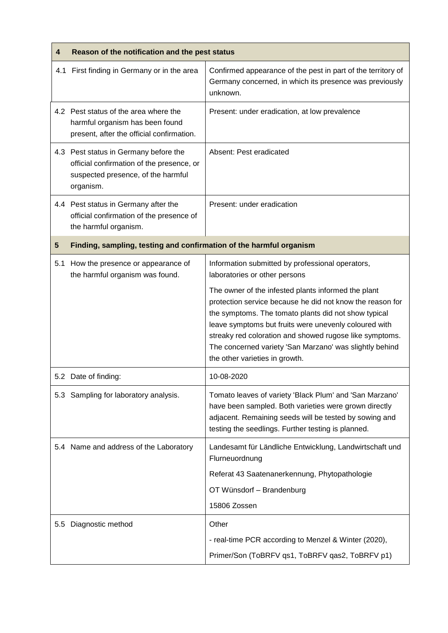| 4              | Reason of the notification and the pest status                                                                                        |                                                                                                                                                                                                                                                                                                                                                                                           |  |
|----------------|---------------------------------------------------------------------------------------------------------------------------------------|-------------------------------------------------------------------------------------------------------------------------------------------------------------------------------------------------------------------------------------------------------------------------------------------------------------------------------------------------------------------------------------------|--|
|                | 4.1 First finding in Germany or in the area                                                                                           | Confirmed appearance of the pest in part of the territory of<br>Germany concerned, in which its presence was previously<br>unknown.                                                                                                                                                                                                                                                       |  |
|                | 4.2 Pest status of the area where the<br>harmful organism has been found<br>present, after the official confirmation.                 | Present: under eradication, at low prevalence                                                                                                                                                                                                                                                                                                                                             |  |
|                | 4.3 Pest status in Germany before the<br>official confirmation of the presence, or<br>suspected presence, of the harmful<br>organism. | Absent: Pest eradicated                                                                                                                                                                                                                                                                                                                                                                   |  |
|                | 4.4 Pest status in Germany after the<br>official confirmation of the presence of<br>the harmful organism.                             | Present: under eradication                                                                                                                                                                                                                                                                                                                                                                |  |
| $5\phantom{1}$ | Finding, sampling, testing and confirmation of the harmful organism                                                                   |                                                                                                                                                                                                                                                                                                                                                                                           |  |
| 5.1            | How the presence or appearance of<br>the harmful organism was found.                                                                  | Information submitted by professional operators,<br>laboratories or other persons                                                                                                                                                                                                                                                                                                         |  |
|                |                                                                                                                                       | The owner of the infested plants informed the plant<br>protection service because he did not know the reason for<br>the symptoms. The tomato plants did not show typical<br>leave symptoms but fruits were unevenly coloured with<br>streaky red coloration and showed rugose like symptoms.<br>The concerned variety 'San Marzano' was slightly behind<br>the other varieties in growth. |  |
|                | 5.2 Date of finding:                                                                                                                  | 10-08-2020                                                                                                                                                                                                                                                                                                                                                                                |  |
| 5.3            | Sampling for laboratory analysis.                                                                                                     | Tomato leaves of variety 'Black Plum' and 'San Marzano'<br>have been sampled. Both varieties were grown directly<br>adjacent. Remaining seeds will be tested by sowing and<br>testing the seedlings. Further testing is planned.                                                                                                                                                          |  |
|                | 5.4 Name and address of the Laboratory                                                                                                | Landesamt für Ländliche Entwicklung, Landwirtschaft und<br>Flurneuordnung                                                                                                                                                                                                                                                                                                                 |  |
|                |                                                                                                                                       | Referat 43 Saatenanerkennung, Phytopathologie                                                                                                                                                                                                                                                                                                                                             |  |
|                |                                                                                                                                       | OT Wünsdorf - Brandenburg                                                                                                                                                                                                                                                                                                                                                                 |  |
|                |                                                                                                                                       | 15806 Zossen                                                                                                                                                                                                                                                                                                                                                                              |  |
| 5.5            | Diagnostic method                                                                                                                     | Other                                                                                                                                                                                                                                                                                                                                                                                     |  |
|                |                                                                                                                                       | - real-time PCR according to Menzel & Winter (2020),                                                                                                                                                                                                                                                                                                                                      |  |
|                |                                                                                                                                       | Primer/Son (ToBRFV qs1, ToBRFV qas2, ToBRFV p1)                                                                                                                                                                                                                                                                                                                                           |  |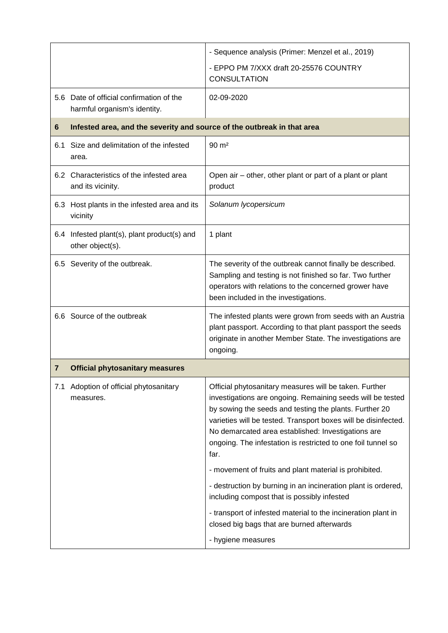|     |                                                                          | - Sequence analysis (Primer: Menzel et al., 2019)                                                                                                                                                                                                                                                                                                                              |
|-----|--------------------------------------------------------------------------|--------------------------------------------------------------------------------------------------------------------------------------------------------------------------------------------------------------------------------------------------------------------------------------------------------------------------------------------------------------------------------|
|     |                                                                          | - EPPO PM 7/XXX draft 20-25576 COUNTRY<br><b>CONSULTATION</b>                                                                                                                                                                                                                                                                                                                  |
|     | 5.6 Date of official confirmation of the<br>harmful organism's identity. | 02-09-2020                                                                                                                                                                                                                                                                                                                                                                     |
| 6   | Infested area, and the severity and source of the outbreak in that area  |                                                                                                                                                                                                                                                                                                                                                                                |
| 6.1 | Size and delimitation of the infested<br>area.                           | $90 \text{ m}^2$                                                                                                                                                                                                                                                                                                                                                               |
|     | 6.2 Characteristics of the infested area<br>and its vicinity.            | Open air – other, other plant or part of a plant or plant<br>product                                                                                                                                                                                                                                                                                                           |
|     | 6.3 Host plants in the infested area and its<br>vicinity                 | Solanum lycopersicum                                                                                                                                                                                                                                                                                                                                                           |
|     | 6.4 Infested plant(s), plant product(s) and<br>other object(s).          | 1 plant                                                                                                                                                                                                                                                                                                                                                                        |
|     | 6.5 Severity of the outbreak.                                            | The severity of the outbreak cannot finally be described.<br>Sampling and testing is not finished so far. Two further<br>operators with relations to the concerned grower have<br>been included in the investigations.                                                                                                                                                         |
|     | 6.6 Source of the outbreak                                               | The infested plants were grown from seeds with an Austria<br>plant passport. According to that plant passport the seeds<br>originate in another Member State. The investigations are<br>ongoing.                                                                                                                                                                               |
| 7   | <b>Official phytosanitary measures</b>                                   |                                                                                                                                                                                                                                                                                                                                                                                |
| 7.1 | Adoption of official phytosanitary<br>measures.                          | Official phytosanitary measures will be taken. Further<br>investigations are ongoing. Remaining seeds will be tested<br>by sowing the seeds and testing the plants. Further 20<br>varieties will be tested. Transport boxes will be disinfected.<br>No demarcated area established: Investigations are<br>ongoing. The infestation is restricted to one foil tunnel so<br>far. |
|     |                                                                          | - movement of fruits and plant material is prohibited.                                                                                                                                                                                                                                                                                                                         |
|     |                                                                          | - destruction by burning in an incineration plant is ordered,<br>including compost that is possibly infested                                                                                                                                                                                                                                                                   |
|     |                                                                          | - transport of infested material to the incineration plant in<br>closed big bags that are burned afterwards                                                                                                                                                                                                                                                                    |
|     |                                                                          | - hygiene measures                                                                                                                                                                                                                                                                                                                                                             |